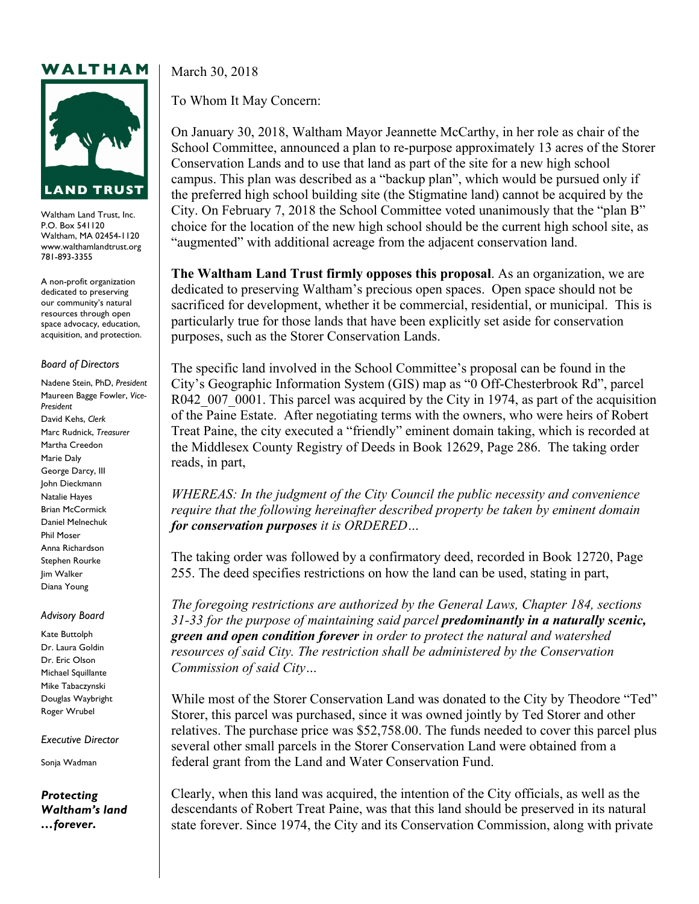## WALTHAM



Waltham Land Trust, Inc. P.O. Box 541120 Waltham, MA 02454-1120 www.walthamlandtrust.org 781-893-3355

A non-profit organization dedicated to preserving our community's natural resources through open space advocacy, education, acquisition, and protection.

## *Board of Directors*

Nadene Stein, PhD, *President* Maureen Bagge Fowler, *Vice-President* David Kehs, *Clerk* Marc Rudnick, *Treasurer* Martha Creedon Marie Daly George Darcy, III John Dieckmann Natalie Hayes Brian McCormick Daniel Melnechuk Phil Moser Anna Richardson Stephen Rourke Jim Walker Diana Young

## *Advisory Board*

Kate Buttolph Dr. Laura Goldin Dr. Eric Olson Michael Squillante Mike Tabaczynski Douglas Waybright Roger Wrubel

*Executive Director*

Sonja Wadman

*Protecting Waltham's land …forever***.**

March 30, 2018

To Whom It May Concern:

On January 30, 2018, Waltham Mayor Jeannette McCarthy, in her role as chair of the School Committee, announced a plan to re-purpose approximately 13 acres of the Storer Conservation Lands and to use that land as part of the site for a new high school campus. This plan was described as a "backup plan", which would be pursued only if the preferred high school building site (the Stigmatine land) cannot be acquired by the City. On February 7, 2018 the School Committee voted unanimously that the "plan B" choice for the location of the new high school should be the current high school site, as "augmented" with additional acreage from the adjacent conservation land.

**The Waltham Land Trust firmly opposes this proposal**. As an organization, we are dedicated to preserving Waltham's precious open spaces. Open space should not be sacrificed for development, whether it be commercial, residential, or municipal. This is particularly true for those lands that have been explicitly set aside for conservation purposes, such as the Storer Conservation Lands.

The specific land involved in the School Committee's proposal can be found in the City's Geographic Information System (GIS) map as "0 Off-Chesterbrook Rd", parcel R042\_007\_0001. This parcel was acquired by the City in 1974, as part of the acquisition of the Paine Estate. After negotiating terms with the owners, who were heirs of Robert Treat Paine, the city executed a "friendly" eminent domain taking, which is recorded at the Middlesex County Registry of Deeds in Book 12629, Page 286. The taking order reads, in part,

*WHEREAS: In the judgment of the City Council the public necessity and convenience require that the following hereinafter described property be taken by eminent domain for conservation purposes it is ORDERED…*

The taking order was followed by a confirmatory deed, recorded in Book 12720, Page 255. The deed specifies restrictions on how the land can be used, stating in part,

*The foregoing restrictions are authorized by the General Laws, Chapter 184, sections 31-33 for the purpose of maintaining said parcel predominantly in a naturally scenic, green and open condition forever in order to protect the natural and watershed resources of said City. The restriction shall be administered by the Conservation Commission of said City…*

While most of the Storer Conservation Land was donated to the City by Theodore "Ted" Storer, this parcel was purchased, since it was owned jointly by Ted Storer and other relatives. The purchase price was \$52,758.00. The funds needed to cover this parcel plus several other small parcels in the Storer Conservation Land were obtained from a federal grant from the Land and Water Conservation Fund.

Clearly, when this land was acquired, the intention of the City officials, as well as the descendants of Robert Treat Paine, was that this land should be preserved in its natural state forever. Since 1974, the City and its Conservation Commission, along with private